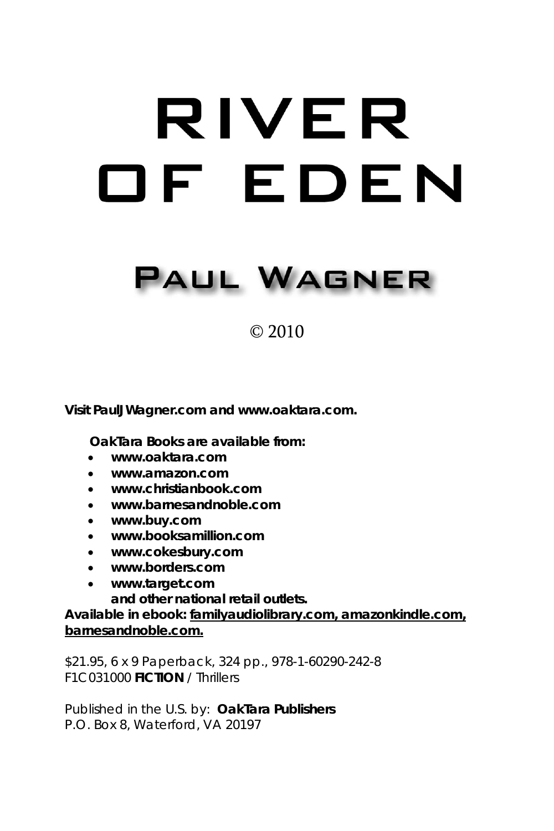# RIVER OF EDEN

# **PAUL WAGNER**

## © 2010

**Visit PaulJWagner.com and www.oaktara.com.**

 **OakTara Books are available from:**

- **www.oaktara.com**
- **www.amazon.com**
- **www.christianbook.com**
- **www.barnesandnoble.com**
- **www.buy.com**
- **www.booksamillion.com**
- **www.cokesbury.com**
- **www.borders.com**
- **www.target.com**

**and other national retail outlets.**

**Available in ebook: familyaudiolibrary.com, amazonkindle.com, barnesandnoble.com.**

\$21.95, 6 x 9 Paperback, 324 pp., 978-1-60290-242-8 F1C031000 **FICTION** / Thrillers

Published in the U.S. by: **OakTara Publishers** P.O. Box 8, Waterford, VA 20197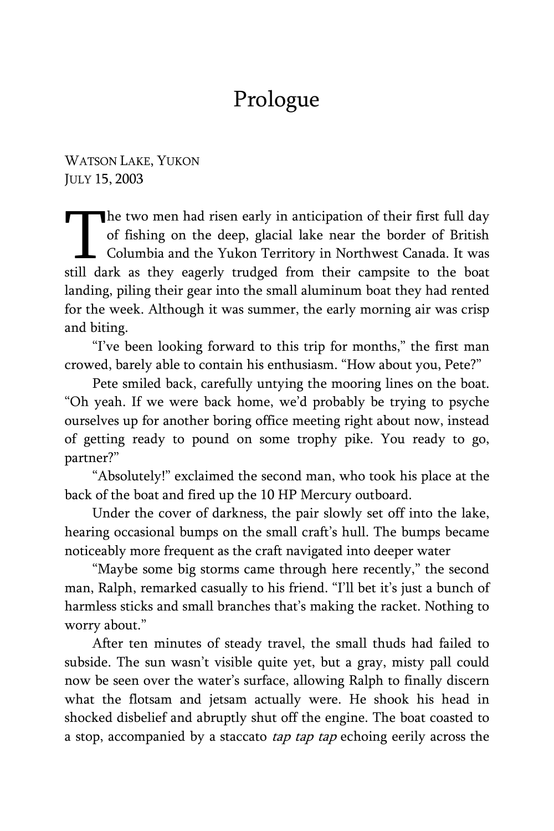## Prologue

WATSON LAKE, YUKON JULY 15, 2003

The two men had risen early in anticipation of their first full day of fishing on the deep, glacial lake near the border of British Columbia and the Yukon Territory in Northwest Canada. It was The two men had risen early in anticipation of their first full day<br>of fishing on the deep, glacial lake near the border of British<br>Columbia and the Yukon Territory in Northwest Canada. It was<br>still dark as they eagerly tr landing, piling their gear into the small aluminum boat they had rented for the week. Although it was summer, the early morning air was crisp and biting.

"I've been looking forward to this trip for months," the first man crowed, barely able to contain his enthusiasm. "How about you, Pete?"

Pete smiled back, carefully untying the mooring lines on the boat. "Oh yeah. If we were back home, we'd probably be trying to psyche ourselves up for another boring office meeting right about now, instead of getting ready to pound on some trophy pike. You ready to go, partner?"

"Absolutely!" exclaimed the second man, who took his place at the back of the boat and fired up the 10 HP Mercury outboard.

Under the cover of darkness, the pair slowly set off into the lake, hearing occasional bumps on the small craft's hull. The bumps became noticeably more frequent as the craft navigated into deeper water

"Maybe some big storms came through here recently," the second man, Ralph, remarked casually to his friend. "I'll bet it's just a bunch of harmless sticks and small branches that's making the racket. Nothing to worry about."

After ten minutes of steady travel, the small thuds had failed to subside. The sun wasn't visible quite yet, but a gray, misty pall could now be seen over the water's surface, allowing Ralph to finally discern what the flotsam and jetsam actually were. He shook his head in shocked disbelief and abruptly shut off the engine. The boat coasted to a stop, accompanied by a staccato *tap tap tap* echoing eerily across the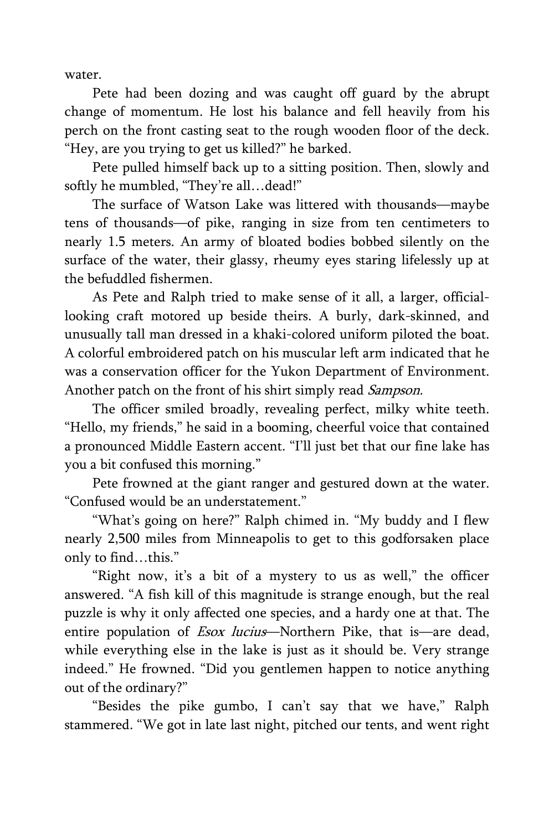water.

Pete had been dozing and was caught off guard by the abrupt change of momentum. He lost his balance and fell heavily from his perch on the front casting seat to the rough wooden floor of the deck. "Hey, are you trying to get us killed?" he barked.

Pete pulled himself back up to a sitting position. Then, slowly and softly he mumbled, "They're all...dead!"

The surface of Watson Lake was littered with thousands—maybe tens of thousands—of pike, ranging in size from ten centimeters to nearly 1.5 meters. An army of bloated bodies bobbed silently on the surface of the water, their glassy, rheumy eyes staring lifelessly up at the befuddled fishermen.

As Pete and Ralph tried to make sense of it all, a larger, officiallooking craft motored up beside theirs. A burly, dark-skinned, and unusually tall man dressed in a khaki-colored uniform piloted the boat. A colorful embroidered patch on his muscular left arm indicated that he was a conservation officer for the Yukon Department of Environment. Another patch on the front of his shirt simply read Sampson.

The officer smiled broadly, revealing perfect, milky white teeth. "Hello, my friends," he said in a booming, cheerful voice that contained a pronounced Middle Eastern accent. "I'll just bet that our fine lake has you a bit confused this morning."

Pete frowned at the giant ranger and gestured down at the water. "Confused would be an understatement."

"What's going on here?" Ralph chimed in. "My buddy and I flew nearly 2,500 miles from Minneapolis to get to this godforsaken place only to find…this."

"Right now, it's a bit of a mystery to us as well," the officer answered. "A fish kill of this magnitude is strange enough, but the real puzzle is why it only affected one species, and a hardy one at that. The entire population of *Esox lucius*—Northern Pike, that is—are dead, while everything else in the lake is just as it should be. Very strange indeed." He frowned. "Did you gentlemen happen to notice anything out of the ordinary?"

"Besides the pike gumbo, I can't say that we have," Ralph stammered. "We got in late last night, pitched our tents, and went right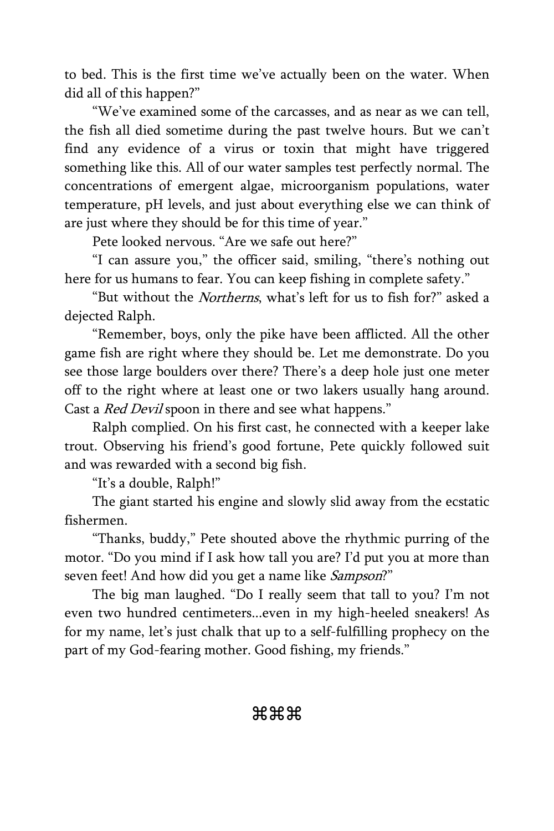to bed. This is the first time we've actually been on the water. When did all of this happen?"

"We've examined some of the carcasses, and as near as we can tell, the fish all died sometime during the past twelve hours. But we can't find any evidence of a virus or toxin that might have triggered something like this. All of our water samples test perfectly normal. The concentrations of emergent algae, microorganism populations, water temperature, pH levels, and just about everything else we can think of are just where they should be for this time of year."

Pete looked nervous. "Are we safe out here?"

"I can assure you," the officer said, smiling, "there's nothing out here for us humans to fear. You can keep fishing in complete safety."

"But without the Northerns, what's left for us to fish for?" asked a dejected Ralph.

"Remember, boys, only the pike have been afflicted. All the other game fish are right where they should be. Let me demonstrate. Do you see those large boulders over there? There's a deep hole just one meter off to the right where at least one or two lakers usually hang around. Cast a *Red Devil* spoon in there and see what happens."

Ralph complied. On his first cast, he connected with a keeper lake trout. Observing his friend's good fortune, Pete quickly followed suit and was rewarded with a second big fish.

"It's a double, Ralph!"

The giant started his engine and slowly slid away from the ecstatic fishermen.

"Thanks, buddy," Pete shouted above the rhythmic purring of the motor. "Do you mind if I ask how tall you are? I'd put you at more than seven feet! And how did you get a name like *Sampson*?"

The big man laughed. "Do I really seem that tall to you? I'm not even two hundred centimeters...even in my high-heeled sneakers! As for my name, let's just chalk that up to a self-fulfilling prophecy on the part of my God-fearing mother. Good fishing, my friends."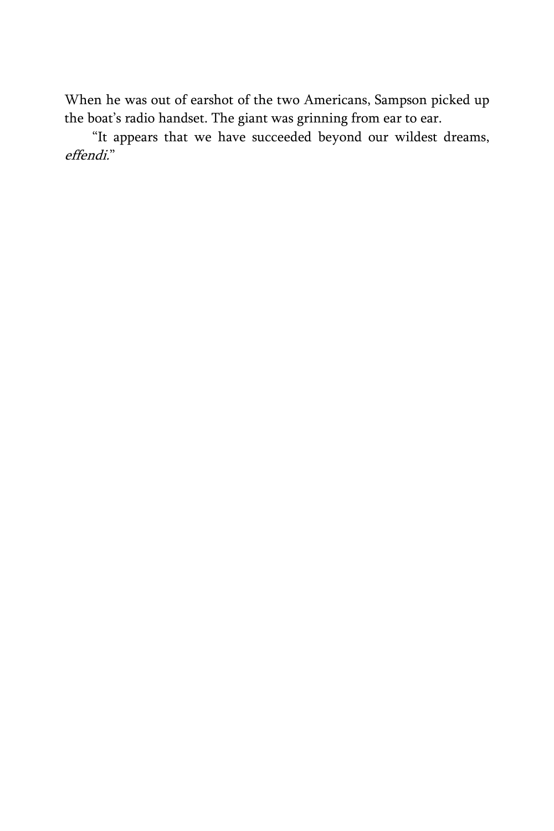When he was out of earshot of the two Americans, Sampson picked up the boat's radio handset. The giant was grinning from ear to ear.

"It appears that we have succeeded beyond our wildest dreams, effendi."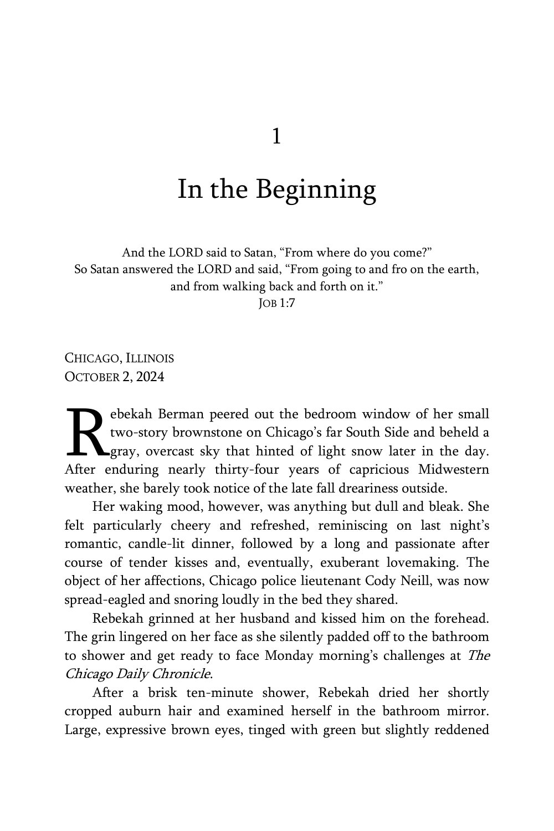## In the Beginning

And the LORD said to Satan, "From where do you come?" So Satan answered the LORD and said, "From going to and fro on the earth, and from walking back and forth on it."

JOB 1:7

CHICAGO, ILLINOIS OCTOBER 2, 2024

ebekah Berman peered out the bedroom window of her small two-story brownstone on Chicago's far South Side and beheld a gray, overcast sky that hinted of light snow later in the day. Rebekah Berman peered out the bedroom window of her small two-story brownstone on Chicago's far South Side and beheld a gray, overcast sky that hinted of light snow later in the day.<br>After enduring nearly thirty-four years weather, she barely took notice of the late fall dreariness outside.

Her waking mood, however, was anything but dull and bleak. She felt particularly cheery and refreshed, reminiscing on last night's romantic, candle-lit dinner, followed by a long and passionate after course of tender kisses and, eventually, exuberant lovemaking. The object of her affections, Chicago police lieutenant Cody Neill, was now spread-eagled and snoring loudly in the bed they shared.

Rebekah grinned at her husband and kissed him on the forehead. The grin lingered on her face as she silently padded off to the bathroom to shower and get ready to face Monday morning's challenges at The Chicago Daily Chronicle.

After a brisk ten-minute shower, Rebekah dried her shortly cropped auburn hair and examined herself in the bathroom mirror. Large, expressive brown eyes, tinged with green but slightly reddened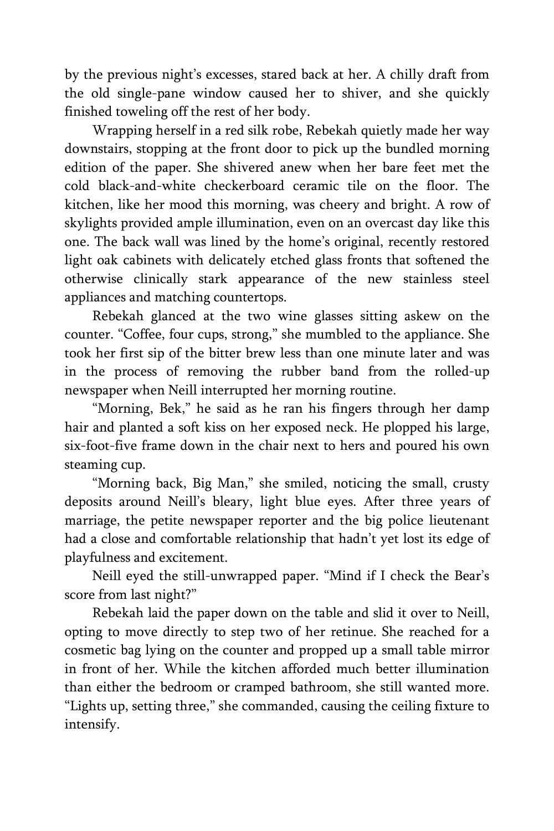by the previous night's excesses, stared back at her. A chilly draft from the old single-pane window caused her to shiver, and she quickly finished toweling off the rest of her body.

Wrapping herself in a red silk robe, Rebekah quietly made her way downstairs, stopping at the front door to pick up the bundled morning edition of the paper. She shivered anew when her bare feet met the cold black-and-white checkerboard ceramic tile on the floor. The kitchen, like her mood this morning, was cheery and bright. A row of skylights provided ample illumination, even on an overcast day like this one. The back wall was lined by the home's original, recently restored light oak cabinets with delicately etched glass fronts that softened the otherwise clinically stark appearance of the new stainless steel appliances and matching countertops.

Rebekah glanced at the two wine glasses sitting askew on the counter. "Coffee, four cups, strong," she mumbled to the appliance. She took her first sip of the bitter brew less than one minute later and was in the process of removing the rubber band from the rolled-up newspaper when Neill interrupted her morning routine.

"Morning, Bek," he said as he ran his fingers through her damp hair and planted a soft kiss on her exposed neck. He plopped his large, six-foot-five frame down in the chair next to hers and poured his own steaming cup.

"Morning back, Big Man," she smiled, noticing the small, crusty deposits around Neill's bleary, light blue eyes. After three years of marriage, the petite newspaper reporter and the big police lieutenant had a close and comfortable relationship that hadn't yet lost its edge of playfulness and excitement.

Neill eyed the still-unwrapped paper. "Mind if I check the Bear's score from last night?"

Rebekah laid the paper down on the table and slid it over to Neill, opting to move directly to step two of her retinue. She reached for a cosmetic bag lying on the counter and propped up a small table mirror in front of her. While the kitchen afforded much better illumination than either the bedroom or cramped bathroom, she still wanted more. "Lights up, setting three," she commanded, causing the ceiling fixture to intensify.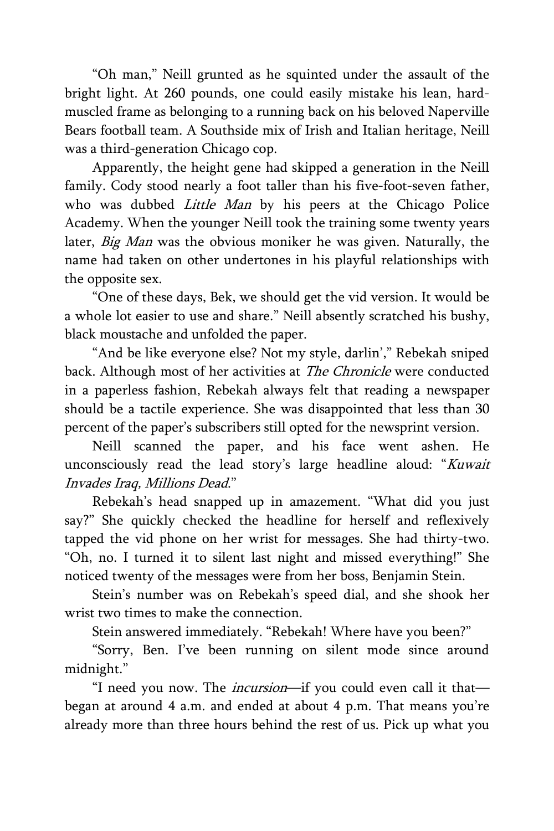"Oh man," Neill grunted as he squinted under the assault of the bright light. At 260 pounds, one could easily mistake his lean, hardmuscled frame as belonging to a running back on his beloved Naperville Bears football team. A Southside mix of Irish and Italian heritage, Neill was a third-generation Chicago cop.

Apparently, the height gene had skipped a generation in the Neill family. Cody stood nearly a foot taller than his five-foot-seven father, who was dubbed *Little Man* by his peers at the Chicago Police Academy. When the younger Neill took the training some twenty years later, *Big Man* was the obvious moniker he was given. Naturally, the name had taken on other undertones in his playful relationships with the opposite sex.

"One of these days, Bek, we should get the vid version. It would be a whole lot easier to use and share." Neill absently scratched his bushy, black moustache and unfolded the paper.

"And be like everyone else? Not my style, darlin'," Rebekah sniped back. Although most of her activities at The Chronicle were conducted in a paperless fashion, Rebekah always felt that reading a newspaper should be a tactile experience. She was disappointed that less than 30 percent of the paper's subscribers still opted for the newsprint version.

Neill scanned the paper, and his face went ashen. He unconsciously read the lead story's large headline aloud: "Kuwait Invades Iraq, Millions Dead."

Rebekah's head snapped up in amazement. "What did you just say?" She quickly checked the headline for herself and reflexively tapped the vid phone on her wrist for messages. She had thirty-two. "Oh, no. I turned it to silent last night and missed everything!" She noticed twenty of the messages were from her boss, Benjamin Stein.

Stein's number was on Rebekah's speed dial, and she shook her wrist two times to make the connection.

Stein answered immediately. "Rebekah! Where have you been?"

"Sorry, Ben. I've been running on silent mode since around midnight."

"I need you now. The incursion—if you could even call it that began at around 4 a.m. and ended at about 4 p.m. That means you're already more than three hours behind the rest of us. Pick up what you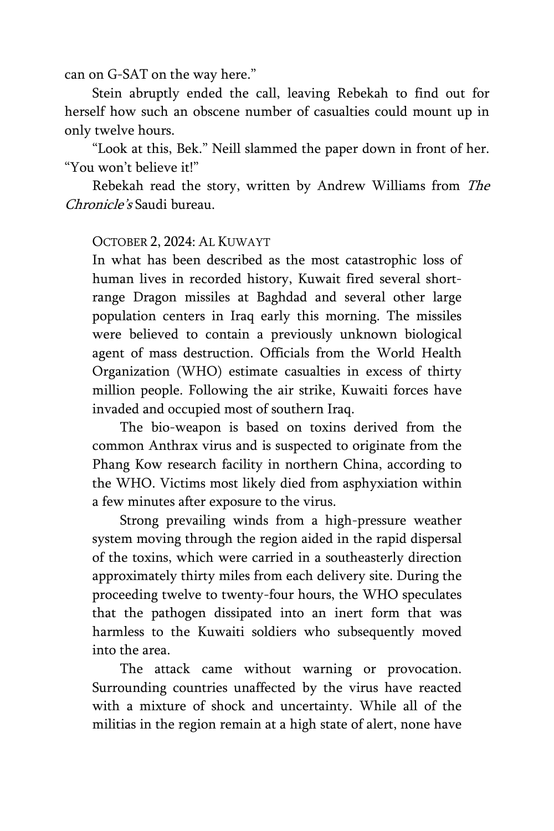can on G-SAT on the way here."

Stein abruptly ended the call, leaving Rebekah to find out for herself how such an obscene number of casualties could mount up in only twelve hours.

"Look at this, Bek." Neill slammed the paper down in front of her. "You won't believe it!"

Rebekah read the story, written by Andrew Williams from The Chronicle's Saudi bureau.

#### OCTOBER 2, 2024: AL KUWAYT

In what has been described as the most catastrophic loss of human lives in recorded history, Kuwait fired several shortrange Dragon missiles at Baghdad and several other large population centers in Iraq early this morning. The missiles were believed to contain a previously unknown biological agent of mass destruction. Officials from the World Health Organization (WHO) estimate casualties in excess of thirty million people. Following the air strike, Kuwaiti forces have invaded and occupied most of southern Iraq.

The bio-weapon is based on toxins derived from the common Anthrax virus and is suspected to originate from the Phang Kow research facility in northern China, according to the WHO. Victims most likely died from asphyxiation within a few minutes after exposure to the virus.

Strong prevailing winds from a high-pressure weather system moving through the region aided in the rapid dispersal of the toxins, which were carried in a southeasterly direction approximately thirty miles from each delivery site. During the proceeding twelve to twenty-four hours, the WHO speculates that the pathogen dissipated into an inert form that was harmless to the Kuwaiti soldiers who subsequently moved into the area.

The attack came without warning or provocation. Surrounding countries unaffected by the virus have reacted with a mixture of shock and uncertainty. While all of the militias in the region remain at a high state of alert, none have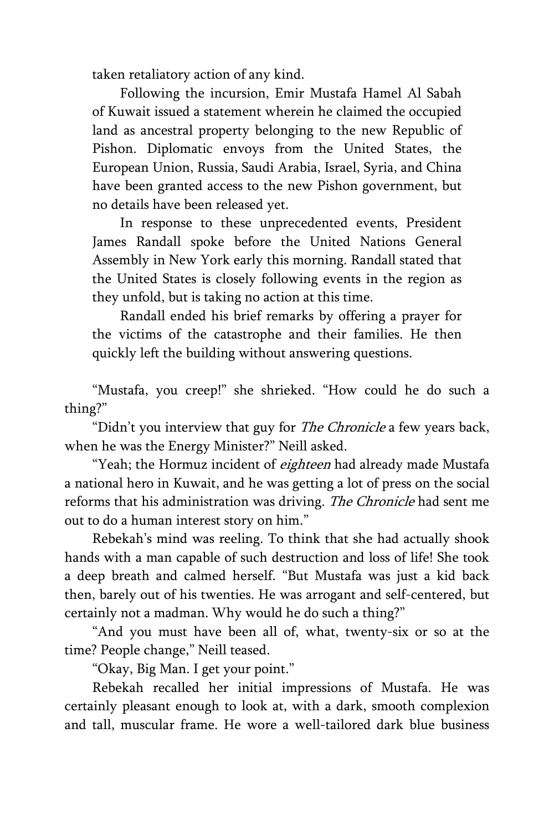taken retaliatory action of any kind.

Following the incursion, Emir Mustafa Hamel Al Sabah of Kuwait issued a statement wherein he claimed the occupied land as ancestral property belonging to the new Republic of Pishon. Diplomatic envoys from the United States, the European Union, Russia, Saudi Arabia, Israel, Syria, and China have been granted access to the new Pishon government, but no details have been released yet.

In response to these unprecedented events, President James Randall spoke before the United Nations General Assembly in New York early this morning. Randall stated that the United States is closely following events in the region as they unfold, but is taking no action at this time.

Randall ended his brief remarks by offering a prayer for the victims of the catastrophe and their families. He then quickly left the building without answering questions.

"Mustafa, you creep!" she shrieked. "How could he do such a thing?"

"Didn't you interview that guy for *The Chronicle* a few years back, when he was the Energy Minister?" Neill asked.

"Yeah; the Hormuz incident of eighteen had already made Mustafa a national hero in Kuwait, and he was getting a lot of press on the social reforms that his administration was driving. The Chronicle had sent me out to do a human interest story on him."

Rebekah's mind was reeling. To think that she had actually shook hands with a man capable of such destruction and loss of life! She took a deep breath and calmed herself. "But Mustafa was just a kid back then, barely out of his twenties. He was arrogant and self-centered, but certainly not a madman. Why would he do such a thing?"

"And you must have been all of, what, twenty-six or so at the time? People change," Neill teased.

"Okay, Big Man. I get your point."

Rebekah recalled her initial impressions of Mustafa. He was certainly pleasant enough to look at, with a dark, smooth complexion and tall, muscular frame. He wore a well-tailored dark blue business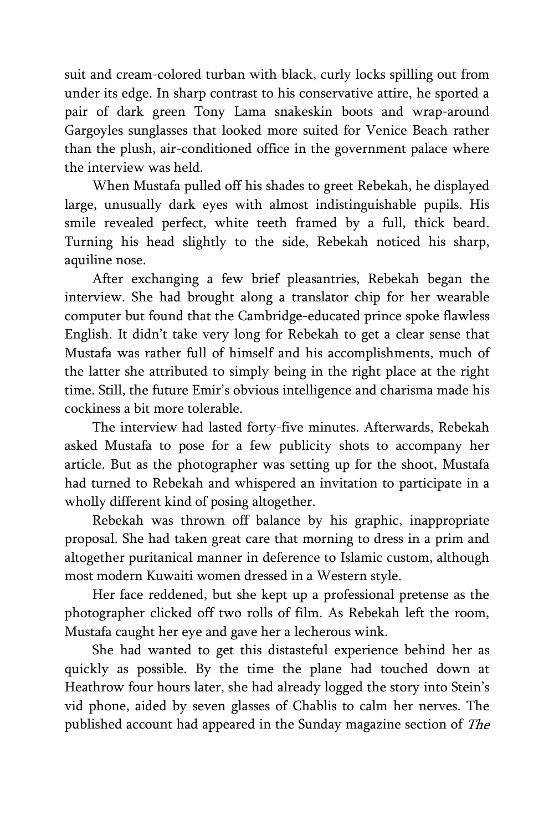suit and cream-colored turban with black, curly locks spilling out from under its edge. In sharp contrast to his conservative attire, he sported a pair of dark green Tony Lama snakeskin boots and wrap-around Gargoyles sunglasses that looked more suited for Venice Beach rather than the plush, air-conditioned office in the government palace where the interview was held.

When Mustafa pulled off his shades to greet Rebekah, he displayed large, unusually dark eyes with almost indistinguishable pupils. His smile revealed perfect, white teeth framed by a full, thick beard. Turning his head slightly to the side, Rebekah noticed his sharp, aquiline nose.

After exchanging a few brief pleasantries, Rebekah began the interview. She had brought along a translator chip for her wearable computer but found that the Cambridge-educated prince spoke flawless English. It didn't take very long for Rebekah to get a clear sense that Mustafa was rather full of himself and his accomplishments, much of the latter she attributed to simply being in the right place at the right time. Still, the future Emir's obvious intelligence and charisma made his cockiness a bit more tolerable.

The interview had lasted forty-five minutes. Afterwards, Rebekah asked Mustafa to pose for a few publicity shots to accompany her article. But as the photographer was setting up for the shoot, Mustafa had turned to Rebekah and whispered an invitation to participate in a wholly different kind of posing altogether.

Rebekah was thrown off balance by his graphic, inappropriate proposal. She had taken great care that morning to dress in a prim and altogether puritanical manner in deference to Islamic custom, although most modern Kuwaiti women dressed in a Western style.

Her face reddened, but she kept up a professional pretense as the photographer clicked off two rolls of film. As Rebekah left the room, Mustafa caught her eye and gave her a lecherous wink.

She had wanted to get this distasteful experience behind her as quickly as possible. By the time the plane had touched down at Heathrow four hours later, she had already logged the story into Stein's vid phone, aided by seven glasses of Chablis to calm her nerves. The published account had appeared in the Sunday magazine section of The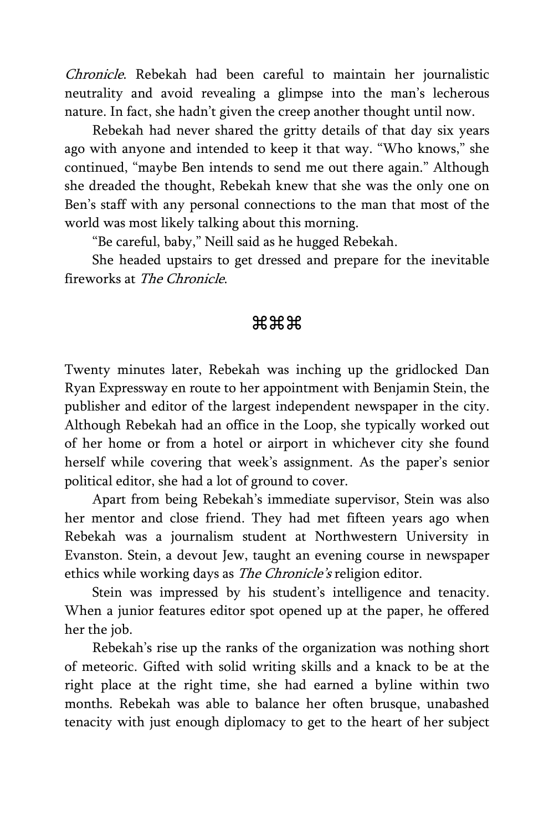Chronicle. Rebekah had been careful to maintain her journalistic neutrality and avoid revealing a glimpse into the man's lecherous nature. In fact, she hadn't given the creep another thought until now.

Rebekah had never shared the gritty details of that day six years ago with anyone and intended to keep it that way. "Who knows," she continued, "maybe Ben intends to send me out there again." Although she dreaded the thought, Rebekah knew that she was the only one on Ben's staff with any personal connections to the man that most of the world was most likely talking about this morning.

"Be careful, baby," Neill said as he hugged Rebekah.

She headed upstairs to get dressed and prepare for the inevitable fireworks at The Chronicle.

### <del>ж</del>жж

Twenty minutes later, Rebekah was inching up the gridlocked Dan Ryan Expressway en route to her appointment with Benjamin Stein, the publisher and editor of the largest independent newspaper in the city. Although Rebekah had an office in the Loop, she typically worked out of her home or from a hotel or airport in whichever city she found herself while covering that week's assignment. As the paper's senior political editor, she had a lot of ground to cover.

Apart from being Rebekah's immediate supervisor, Stein was also her mentor and close friend. They had met fifteen years ago when Rebekah was a journalism student at Northwestern University in Evanston. Stein, a devout Jew, taught an evening course in newspaper ethics while working days as *The Chronicle's* religion editor.

Stein was impressed by his student's intelligence and tenacity. When a junior features editor spot opened up at the paper, he offered her the job.

Rebekah's rise up the ranks of the organization was nothing short of meteoric. Gifted with solid writing skills and a knack to be at the right place at the right time, she had earned a byline within two months. Rebekah was able to balance her often brusque, unabashed tenacity with just enough diplomacy to get to the heart of her subject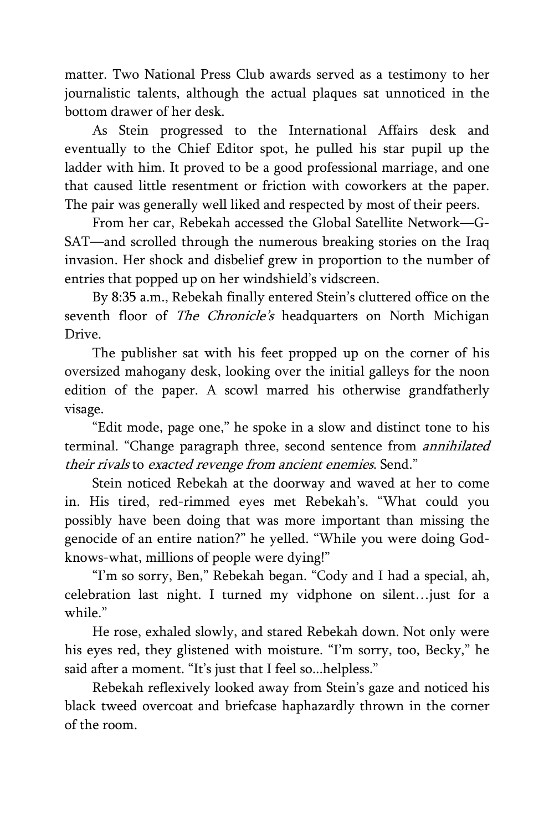matter. Two National Press Club awards served as a testimony to her journalistic talents, although the actual plaques sat unnoticed in the bottom drawer of her desk.

As Stein progressed to the International Affairs desk and eventually to the Chief Editor spot, he pulled his star pupil up the ladder with him. It proved to be a good professional marriage, and one that caused little resentment or friction with coworkers at the paper. The pair was generally well liked and respected by most of their peers.

From her car, Rebekah accessed the Global Satellite Network—G-SAT—and scrolled through the numerous breaking stories on the Iraq invasion. Her shock and disbelief grew in proportion to the number of entries that popped up on her windshield's vidscreen.

By 8:35 a.m., Rebekah finally entered Stein's cluttered office on the seventh floor of The Chronicle's headquarters on North Michigan Drive.

The publisher sat with his feet propped up on the corner of his oversized mahogany desk, looking over the initial galleys for the noon edition of the paper. A scowl marred his otherwise grandfatherly visage.

"Edit mode, page one," he spoke in a slow and distinct tone to his terminal. "Change paragraph three, second sentence from *annihilated* their rivals to exacted revenge from ancient enemies. Send."

Stein noticed Rebekah at the doorway and waved at her to come in. His tired, red-rimmed eyes met Rebekah's. "What could you possibly have been doing that was more important than missing the genocide of an entire nation?" he yelled. "While you were doing Godknows-what, millions of people were dying!"

"I'm so sorry, Ben," Rebekah began. "Cody and I had a special, ah, celebration last night. I turned my vidphone on silent…just for a while."

He rose, exhaled slowly, and stared Rebekah down. Not only were his eyes red, they glistened with moisture. "I'm sorry, too, Becky," he said after a moment. "It's just that I feel so...helpless."

Rebekah reflexively looked away from Stein's gaze and noticed his black tweed overcoat and briefcase haphazardly thrown in the corner of the room.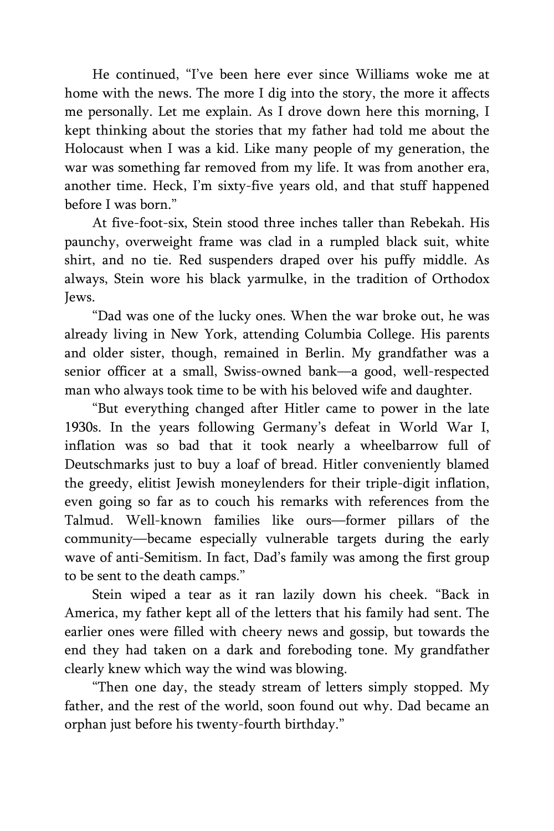He continued, "I've been here ever since Williams woke me at home with the news. The more I dig into the story, the more it affects me personally. Let me explain. As I drove down here this morning, I kept thinking about the stories that my father had told me about the Holocaust when I was a kid. Like many people of my generation, the war was something far removed from my life. It was from another era, another time. Heck, I'm sixty-five years old, and that stuff happened before I was born."

At five-foot-six, Stein stood three inches taller than Rebekah. His paunchy, overweight frame was clad in a rumpled black suit, white shirt, and no tie. Red suspenders draped over his puffy middle. As always, Stein wore his black yarmulke, in the tradition of Orthodox Jews.

"Dad was one of the lucky ones. When the war broke out, he was already living in New York, attending Columbia College. His parents and older sister, though, remained in Berlin. My grandfather was a senior officer at a small, Swiss-owned bank—a good, well-respected man who always took time to be with his beloved wife and daughter.

"But everything changed after Hitler came to power in the late 1930s. In the years following Germany's defeat in World War I, inflation was so bad that it took nearly a wheelbarrow full of Deutschmarks just to buy a loaf of bread. Hitler conveniently blamed the greedy, elitist Jewish moneylenders for their triple-digit inflation, even going so far as to couch his remarks with references from the Talmud. Well-known families like ours—former pillars of the community—became especially vulnerable targets during the early wave of anti-Semitism. In fact, Dad's family was among the first group to be sent to the death camps."

Stein wiped a tear as it ran lazily down his cheek. "Back in America, my father kept all of the letters that his family had sent. The earlier ones were filled with cheery news and gossip, but towards the end they had taken on a dark and foreboding tone. My grandfather clearly knew which way the wind was blowing.

"Then one day, the steady stream of letters simply stopped. My father, and the rest of the world, soon found out why. Dad became an orphan just before his twenty-fourth birthday."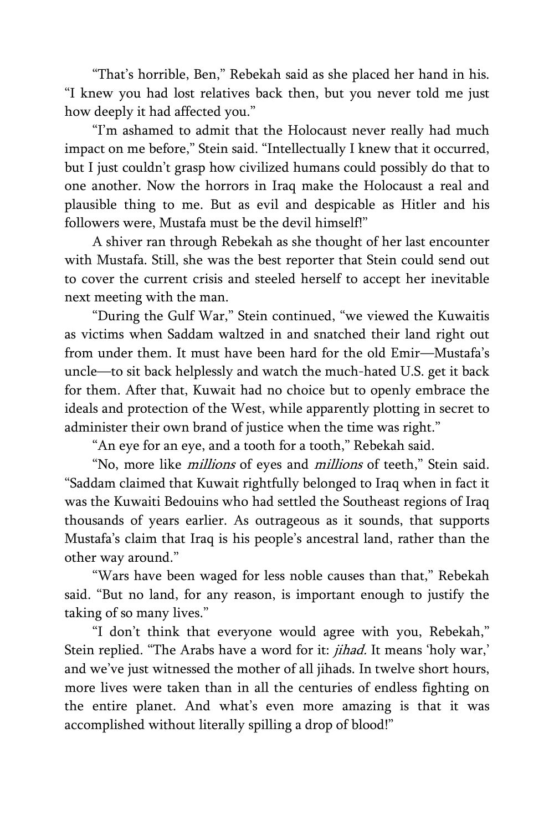"That's horrible, Ben," Rebekah said as she placed her hand in his. "I knew you had lost relatives back then, but you never told me just how deeply it had affected you."

"I'm ashamed to admit that the Holocaust never really had much impact on me before," Stein said. "Intellectually I knew that it occurred, but I just couldn't grasp how civilized humans could possibly do that to one another. Now the horrors in Iraq make the Holocaust a real and plausible thing to me. But as evil and despicable as Hitler and his followers were, Mustafa must be the devil himself!"

A shiver ran through Rebekah as she thought of her last encounter with Mustafa. Still, she was the best reporter that Stein could send out to cover the current crisis and steeled herself to accept her inevitable next meeting with the man.

"During the Gulf War," Stein continued, "we viewed the Kuwaitis as victims when Saddam waltzed in and snatched their land right out from under them. It must have been hard for the old Emir—Mustafa's uncle—to sit back helplessly and watch the much-hated U.S. get it back for them. After that, Kuwait had no choice but to openly embrace the ideals and protection of the West, while apparently plotting in secret to administer their own brand of justice when the time was right."

"An eye for an eye, and a tooth for a tooth," Rebekah said.

"No, more like *millions* of eyes and *millions* of teeth," Stein said. "Saddam claimed that Kuwait rightfully belonged to Iraq when in fact it was the Kuwaiti Bedouins who had settled the Southeast regions of Iraq thousands of years earlier. As outrageous as it sounds, that supports Mustafa's claim that Iraq is his people's ancestral land, rather than the other way around."

"Wars have been waged for less noble causes than that," Rebekah said. "But no land, for any reason, is important enough to justify the taking of so many lives."

"I don't think that everyone would agree with you, Rebekah," Stein replied. "The Arabs have a word for it: jihad. It means 'holy war,' and we've just witnessed the mother of all jihads. In twelve short hours, more lives were taken than in all the centuries of endless fighting on the entire planet. And what's even more amazing is that it was accomplished without literally spilling a drop of blood!"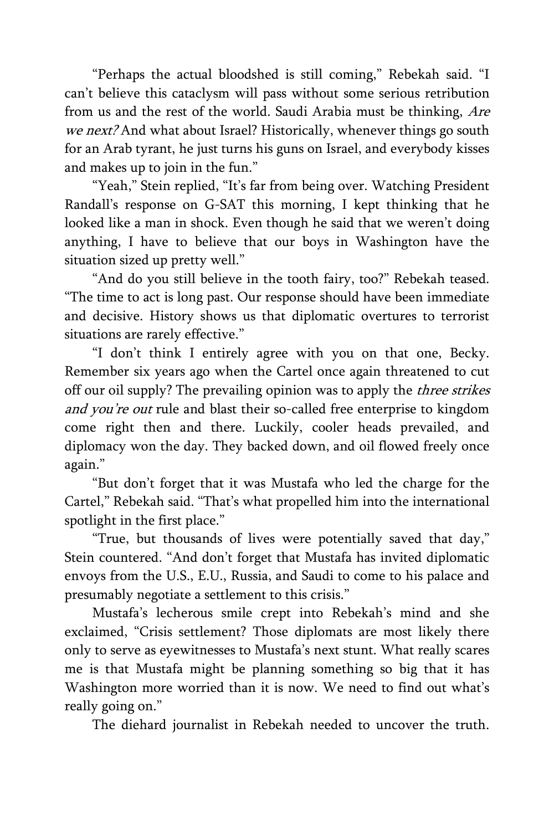"Perhaps the actual bloodshed is still coming," Rebekah said. "I can't believe this cataclysm will pass without some serious retribution from us and the rest of the world. Saudi Arabia must be thinking, Are we next? And what about Israel? Historically, whenever things go south for an Arab tyrant, he just turns his guns on Israel, and everybody kisses and makes up to join in the fun."

"Yeah," Stein replied, "It's far from being over. Watching President Randall's response on G-SAT this morning, I kept thinking that he looked like a man in shock. Even though he said that we weren't doing anything, I have to believe that our boys in Washington have the situation sized up pretty well."

"And do you still believe in the tooth fairy, too?" Rebekah teased. "The time to act is long past. Our response should have been immediate and decisive. History shows us that diplomatic overtures to terrorist situations are rarely effective."

"I don't think I entirely agree with you on that one, Becky. Remember six years ago when the Cartel once again threatened to cut off our oil supply? The prevailing opinion was to apply the *three strikes* and you're out rule and blast their so-called free enterprise to kingdom come right then and there. Luckily, cooler heads prevailed, and diplomacy won the day. They backed down, and oil flowed freely once again."

"But don't forget that it was Mustafa who led the charge for the Cartel," Rebekah said. "That's what propelled him into the international spotlight in the first place."

"True, but thousands of lives were potentially saved that day," Stein countered. "And don't forget that Mustafa has invited diplomatic envoys from the U.S., E.U., Russia, and Saudi to come to his palace and presumably negotiate a settlement to this crisis."

Mustafa's lecherous smile crept into Rebekah's mind and she exclaimed, "Crisis settlement? Those diplomats are most likely there only to serve as eyewitnesses to Mustafa's next stunt. What really scares me is that Mustafa might be planning something so big that it has Washington more worried than it is now. We need to find out what's really going on."

The diehard journalist in Rebekah needed to uncover the truth.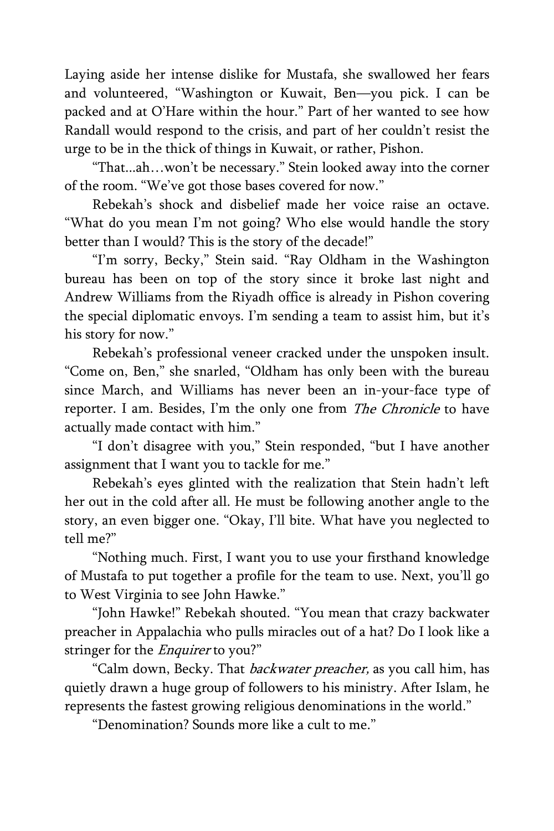Laying aside her intense dislike for Mustafa, she swallowed her fears and volunteered, "Washington or Kuwait, Ben—you pick. I can be packed and at O'Hare within the hour." Part of her wanted to see how Randall would respond to the crisis, and part of her couldn't resist the urge to be in the thick of things in Kuwait, or rather, Pishon.

"That...ah…won't be necessary." Stein looked away into the corner of the room. "We've got those bases covered for now."

Rebekah's shock and disbelief made her voice raise an octave. "What do you mean I'm not going? Who else would handle the story better than I would? This is the story of the decade!"

"I'm sorry, Becky," Stein said. "Ray Oldham in the Washington bureau has been on top of the story since it broke last night and Andrew Williams from the Riyadh office is already in Pishon covering the special diplomatic envoys. I'm sending a team to assist him, but it's his story for now."

Rebekah's professional veneer cracked under the unspoken insult. "Come on, Ben," she snarled, "Oldham has only been with the bureau since March, and Williams has never been an in-your-face type of reporter. I am. Besides, I'm the only one from The Chronicle to have actually made contact with him."

"I don't disagree with you," Stein responded, "but I have another assignment that I want you to tackle for me."

Rebekah's eyes glinted with the realization that Stein hadn't left her out in the cold after all. He must be following another angle to the story, an even bigger one. "Okay, I'll bite. What have you neglected to tell me?"

"Nothing much. First, I want you to use your firsthand knowledge of Mustafa to put together a profile for the team to use. Next, you'll go to West Virginia to see John Hawke."

"John Hawke!" Rebekah shouted. "You mean that crazy backwater preacher in Appalachia who pulls miracles out of a hat? Do I look like a stringer for the *Enquirer* to you?"

"Calm down, Becky. That *backwater preacher*, as you call him, has quietly drawn a huge group of followers to his ministry. After Islam, he represents the fastest growing religious denominations in the world."

"Denomination? Sounds more like a cult to me."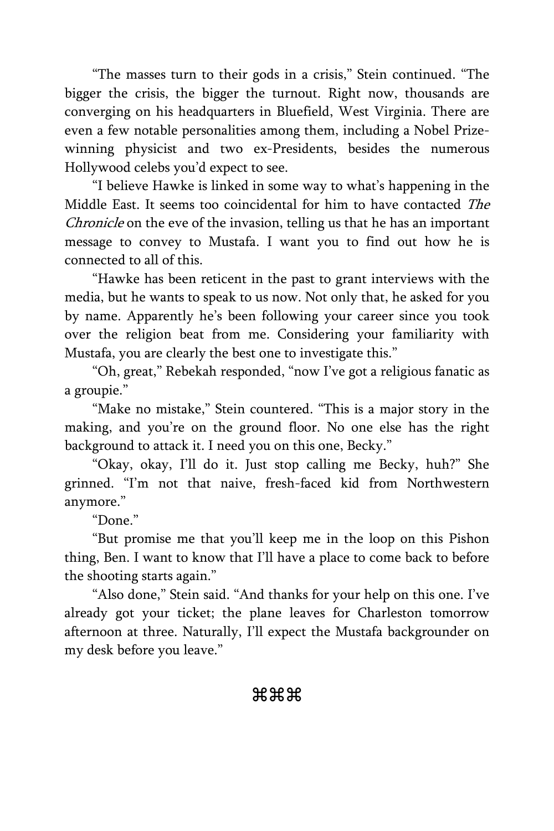"The masses turn to their gods in a crisis," Stein continued. "The bigger the crisis, the bigger the turnout. Right now, thousands are converging on his headquarters in Bluefield, West Virginia. There are even a few notable personalities among them, including a Nobel Prizewinning physicist and two ex-Presidents, besides the numerous Hollywood celebs you'd expect to see.

"I believe Hawke is linked in some way to what's happening in the Middle East. It seems too coincidental for him to have contacted The Chronicle on the eve of the invasion, telling us that he has an important message to convey to Mustafa. I want you to find out how he is connected to all of this.

"Hawke has been reticent in the past to grant interviews with the media, but he wants to speak to us now. Not only that, he asked for you by name. Apparently he's been following your career since you took over the religion beat from me. Considering your familiarity with Mustafa, you are clearly the best one to investigate this."

"Oh, great," Rebekah responded, "now I've got a religious fanatic as a groupie."

"Make no mistake," Stein countered. "This is a major story in the making, and you're on the ground floor. No one else has the right background to attack it. I need you on this one, Becky."

"Okay, okay, I'll do it. Just stop calling me Becky, huh?" She grinned. "I'm not that naive, fresh-faced kid from Northwestern anymore."

"Done."

"But promise me that you'll keep me in the loop on this Pishon thing, Ben. I want to know that I'll have a place to come back to before the shooting starts again."

"Also done," Stein said. "And thanks for your help on this one. I've already got your ticket; the plane leaves for Charleston tomorrow afternoon at three. Naturally, I'll expect the Mustafa backgrounder on my desk before you leave."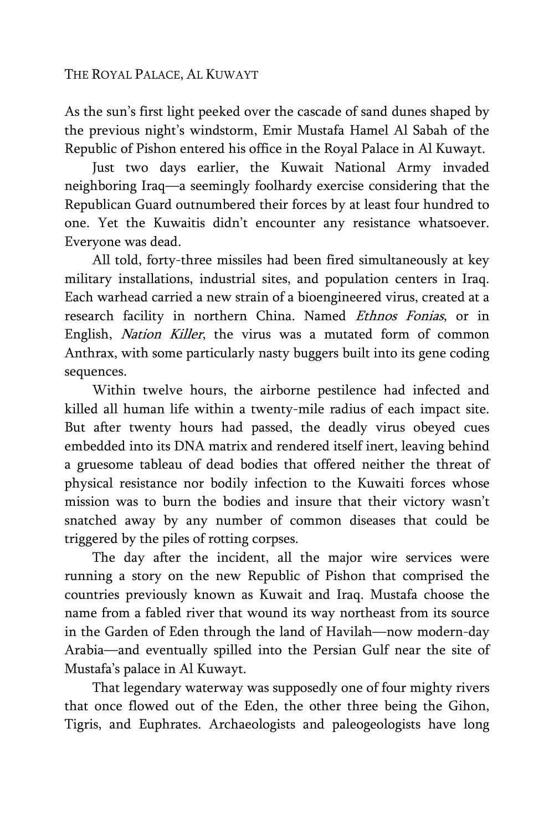As the sun's first light peeked over the cascade of sand dunes shaped by the previous night's windstorm, Emir Mustafa Hamel Al Sabah of the Republic of Pishon entered his office in the Royal Palace in Al Kuwayt.

Just two days earlier, the Kuwait National Army invaded neighboring Iraq—a seemingly foolhardy exercise considering that the Republican Guard outnumbered their forces by at least four hundred to one. Yet the Kuwaitis didn't encounter any resistance whatsoever. Everyone was dead.

All told, forty-three missiles had been fired simultaneously at key military installations, industrial sites, and population centers in Iraq. Each warhead carried a new strain of a bioengineered virus, created at a research facility in northern China. Named Ethnos Fonias, or in English, Nation Killer, the virus was a mutated form of common Anthrax, with some particularly nasty buggers built into its gene coding sequences.

Within twelve hours, the airborne pestilence had infected and killed all human life within a twenty-mile radius of each impact site. But after twenty hours had passed, the deadly virus obeyed cues embedded into its DNA matrix and rendered itself inert, leaving behind a gruesome tableau of dead bodies that offered neither the threat of physical resistance nor bodily infection to the Kuwaiti forces whose mission was to burn the bodies and insure that their victory wasn't snatched away by any number of common diseases that could be triggered by the piles of rotting corpses.

The day after the incident, all the major wire services were running a story on the new Republic of Pishon that comprised the countries previously known as Kuwait and Iraq. Mustafa choose the name from a fabled river that wound its way northeast from its source in the Garden of Eden through the land of Havilah—now modern-day Arabia—and eventually spilled into the Persian Gulf near the site of Mustafa's palace in Al Kuwayt.

That legendary waterway was supposedly one of four mighty rivers that once flowed out of the Eden, the other three being the Gihon, Tigris, and Euphrates. Archaeologists and paleogeologists have long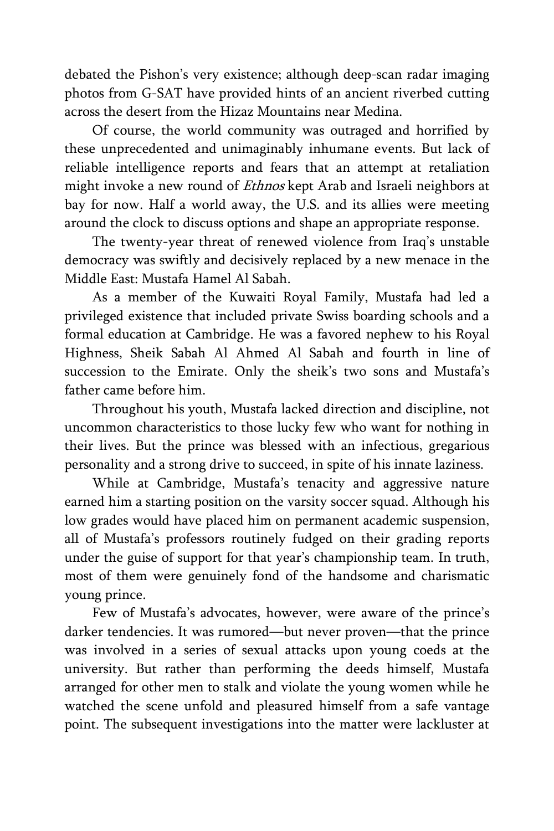debated the Pishon's very existence; although deep-scan radar imaging photos from G-SAT have provided hints of an ancient riverbed cutting across the desert from the Hizaz Mountains near Medina.

Of course, the world community was outraged and horrified by these unprecedented and unimaginably inhumane events. But lack of reliable intelligence reports and fears that an attempt at retaliation might invoke a new round of *Ethnos* kept Arab and Israeli neighbors at bay for now. Half a world away, the U.S. and its allies were meeting around the clock to discuss options and shape an appropriate response.

The twenty-year threat of renewed violence from Iraq's unstable democracy was swiftly and decisively replaced by a new menace in the Middle East: Mustafa Hamel Al Sabah.

As a member of the Kuwaiti Royal Family, Mustafa had led a privileged existence that included private Swiss boarding schools and a formal education at Cambridge. He was a favored nephew to his Royal Highness, Sheik Sabah Al Ahmed Al Sabah and fourth in line of succession to the Emirate. Only the sheik's two sons and Mustafa's father came before him.

Throughout his youth, Mustafa lacked direction and discipline, not uncommon characteristics to those lucky few who want for nothing in their lives. But the prince was blessed with an infectious, gregarious personality and a strong drive to succeed, in spite of his innate laziness.

While at Cambridge, Mustafa's tenacity and aggressive nature earned him a starting position on the varsity soccer squad. Although his low grades would have placed him on permanent academic suspension, all of Mustafa's professors routinely fudged on their grading reports under the guise of support for that year's championship team. In truth, most of them were genuinely fond of the handsome and charismatic young prince.

Few of Mustafa's advocates, however, were aware of the prince's darker tendencies. It was rumored—but never proven—that the prince was involved in a series of sexual attacks upon young coeds at the university. But rather than performing the deeds himself, Mustafa arranged for other men to stalk and violate the young women while he watched the scene unfold and pleasured himself from a safe vantage point. The subsequent investigations into the matter were lackluster at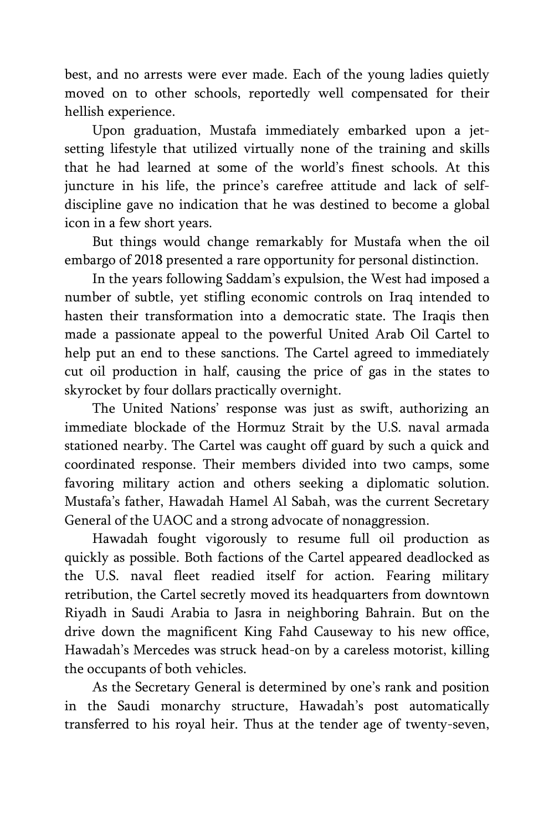best, and no arrests were ever made. Each of the young ladies quietly moved on to other schools, reportedly well compensated for their hellish experience.

Upon graduation, Mustafa immediately embarked upon a jetsetting lifestyle that utilized virtually none of the training and skills that he had learned at some of the world's finest schools. At this juncture in his life, the prince's carefree attitude and lack of selfdiscipline gave no indication that he was destined to become a global icon in a few short years.

But things would change remarkably for Mustafa when the oil embargo of 2018 presented a rare opportunity for personal distinction.

In the years following Saddam's expulsion, the West had imposed a number of subtle, yet stifling economic controls on Iraq intended to hasten their transformation into a democratic state. The Iraqis then made a passionate appeal to the powerful United Arab Oil Cartel to help put an end to these sanctions. The Cartel agreed to immediately cut oil production in half, causing the price of gas in the states to skyrocket by four dollars practically overnight.

The United Nations' response was just as swift, authorizing an immediate blockade of the Hormuz Strait by the U.S. naval armada stationed nearby. The Cartel was caught off guard by such a quick and coordinated response. Their members divided into two camps, some favoring military action and others seeking a diplomatic solution. Mustafa's father, Hawadah Hamel Al Sabah, was the current Secretary General of the UAOC and a strong advocate of nonaggression.

Hawadah fought vigorously to resume full oil production as quickly as possible. Both factions of the Cartel appeared deadlocked as the U.S. naval fleet readied itself for action. Fearing military retribution, the Cartel secretly moved its headquarters from downtown Riyadh in Saudi Arabia to Jasra in neighboring Bahrain. But on the drive down the magnificent King Fahd Causeway to his new office, Hawadah's Mercedes was struck head-on by a careless motorist, killing the occupants of both vehicles.

As the Secretary General is determined by one's rank and position in the Saudi monarchy structure, Hawadah's post automatically transferred to his royal heir. Thus at the tender age of twenty-seven,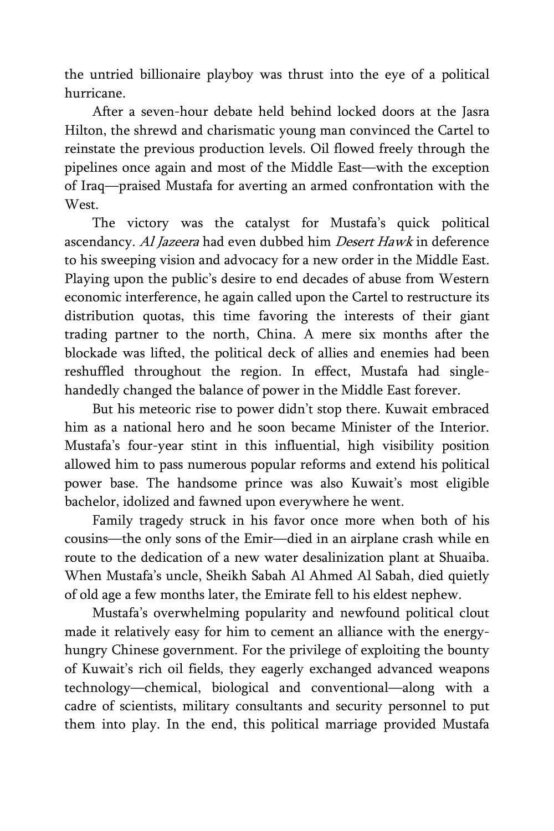the untried billionaire playboy was thrust into the eye of a political hurricane.

After a seven-hour debate held behind locked doors at the Jasra Hilton, the shrewd and charismatic young man convinced the Cartel to reinstate the previous production levels. Oil flowed freely through the pipelines once again and most of the Middle East—with the exception of Iraq—praised Mustafa for averting an armed confrontation with the **West** 

The victory was the catalyst for Mustafa's quick political ascendancy. Al Jazeera had even dubbed him Desert Hawk in deference to his sweeping vision and advocacy for a new order in the Middle East. Playing upon the public's desire to end decades of abuse from Western economic interference, he again called upon the Cartel to restructure its distribution quotas, this time favoring the interests of their giant trading partner to the north, China. A mere six months after the blockade was lifted, the political deck of allies and enemies had been reshuffled throughout the region. In effect, Mustafa had singlehandedly changed the balance of power in the Middle East forever.

But his meteoric rise to power didn't stop there. Kuwait embraced him as a national hero and he soon became Minister of the Interior. Mustafa's four-year stint in this influential, high visibility position allowed him to pass numerous popular reforms and extend his political power base. The handsome prince was also Kuwait's most eligible bachelor, idolized and fawned upon everywhere he went.

Family tragedy struck in his favor once more when both of his cousins—the only sons of the Emir—died in an airplane crash while en route to the dedication of a new water desalinization plant at Shuaiba. When Mustafa's uncle, Sheikh Sabah Al Ahmed Al Sabah, died quietly of old age a few months later, the Emirate fell to his eldest nephew.

Mustafa's overwhelming popularity and newfound political clout made it relatively easy for him to cement an alliance with the energyhungry Chinese government. For the privilege of exploiting the bounty of Kuwait's rich oil fields, they eagerly exchanged advanced weapons technology—chemical, biological and conventional—along with a cadre of scientists, military consultants and security personnel to put them into play. In the end, this political marriage provided Mustafa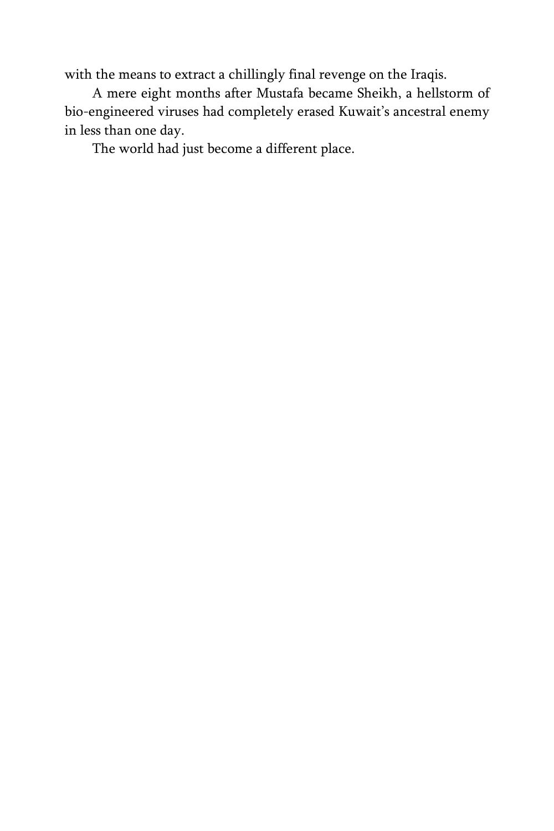with the means to extract a chillingly final revenge on the Iraqis.

A mere eight months after Mustafa became Sheikh, a hellstorm of bio-engineered viruses had completely erased Kuwait's ancestral enemy in less than one day.

The world had just become a different place.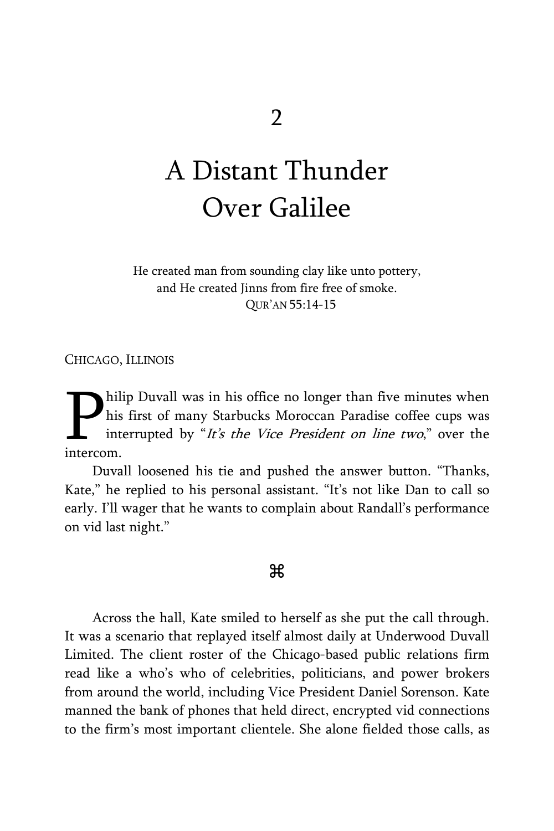## A Distant Thunder Over Galilee

He created man from sounding clay like unto pottery, and He created Jinns from fire free of smoke. QUR'AN 55:14-15

CHICAGO, ILLINOIS

hilip Duvall was in his office no longer than five minutes when his first of many Starbucks Moroccan Paradise coffee cups was interrupted by "It's the Vice President on line two," over the **P**his intercom.

Duvall loosened his tie and pushed the answer button. "Thanks, Kate," he replied to his personal assistant. "It's not like Dan to call so early. I'll wager that he wants to complain about Randall's performance on vid last night."

#### Ж

Across the hall, Kate smiled to herself as she put the call through. It was a scenario that replayed itself almost daily at Underwood Duvall Limited. The client roster of the Chicago-based public relations firm read like a who's who of celebrities, politicians, and power brokers from around the world, including Vice President Daniel Sorenson. Kate manned the bank of phones that held direct, encrypted vid connections to the firm's most important clientele. She alone fielded those calls, as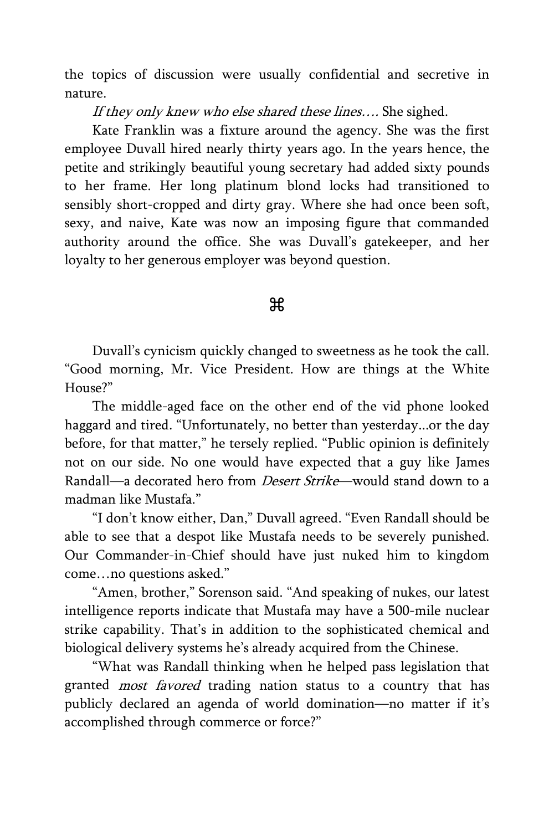the topics of discussion were usually confidential and secretive in nature.

If they only knew who else shared these lines.... She sighed.

Kate Franklin was a fixture around the agency. She was the first employee Duvall hired nearly thirty years ago. In the years hence, the petite and strikingly beautiful young secretary had added sixty pounds to her frame. Her long platinum blond locks had transitioned to sensibly short-cropped and dirty gray. Where she had once been soft, sexy, and naive, Kate was now an imposing figure that commanded authority around the office. She was Duvall's gatekeeper, and her loyalty to her generous employer was beyond question.

#### æ

Duvall's cynicism quickly changed to sweetness as he took the call. "Good morning, Mr. Vice President. How are things at the White House?"

The middle-aged face on the other end of the vid phone looked haggard and tired. "Unfortunately, no better than yesterday...or the day before, for that matter," he tersely replied. "Public opinion is definitely not on our side. No one would have expected that a guy like James Randall—a decorated hero from *Desert Strike*—would stand down to a madman like Mustafa."

"I don't know either, Dan," Duvall agreed. "Even Randall should be able to see that a despot like Mustafa needs to be severely punished. Our Commander-in-Chief should have just nuked him to kingdom come…no questions asked."

"Amen, brother," Sorenson said. "And speaking of nukes, our latest intelligence reports indicate that Mustafa may have a 500-mile nuclear strike capability. That's in addition to the sophisticated chemical and biological delivery systems he's already acquired from the Chinese.

"What was Randall thinking when he helped pass legislation that granted *most favored* trading nation status to a country that has publicly declared an agenda of world domination—no matter if it's accomplished through commerce or force?"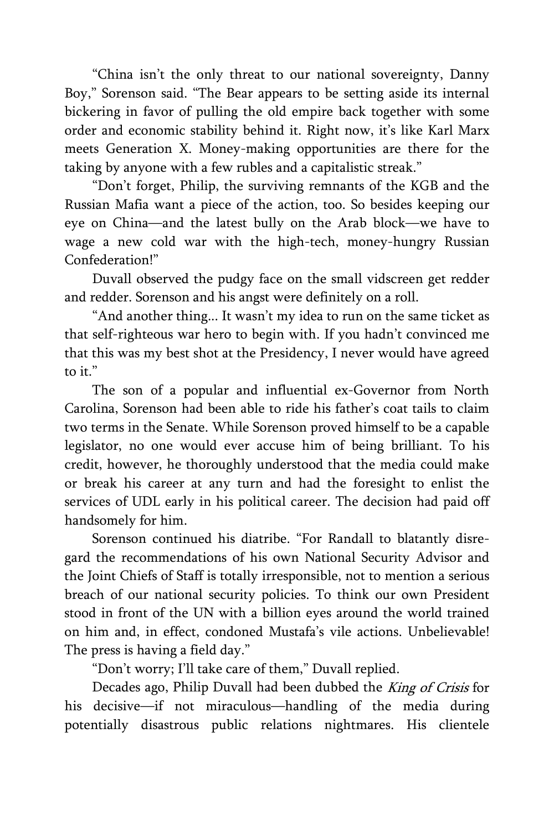"China isn't the only threat to our national sovereignty, Danny Boy," Sorenson said. "The Bear appears to be setting aside its internal bickering in favor of pulling the old empire back together with some order and economic stability behind it. Right now, it's like Karl Marx meets Generation X. Money-making opportunities are there for the taking by anyone with a few rubles and a capitalistic streak."

"Don't forget, Philip, the surviving remnants of the KGB and the Russian Mafia want a piece of the action, too. So besides keeping our eye on China—and the latest bully on the Arab block—we have to wage a new cold war with the high-tech, money-hungry Russian Confederation!"

Duvall observed the pudgy face on the small vidscreen get redder and redder. Sorenson and his angst were definitely on a roll.

"And another thing... It wasn't my idea to run on the same ticket as that self-righteous war hero to begin with. If you hadn't convinced me that this was my best shot at the Presidency, I never would have agreed to it."

The son of a popular and influential ex-Governor from North Carolina, Sorenson had been able to ride his father's coat tails to claim two terms in the Senate. While Sorenson proved himself to be a capable legislator, no one would ever accuse him of being brilliant. To his credit, however, he thoroughly understood that the media could make or break his career at any turn and had the foresight to enlist the services of UDL early in his political career. The decision had paid off handsomely for him.

Sorenson continued his diatribe. "For Randall to blatantly disregard the recommendations of his own National Security Advisor and the Joint Chiefs of Staff is totally irresponsible, not to mention a serious breach of our national security policies. To think our own President stood in front of the UN with a billion eyes around the world trained on him and, in effect, condoned Mustafa's vile actions. Unbelievable! The press is having a field day."

"Don't worry; I'll take care of them," Duvall replied.

Decades ago, Philip Duvall had been dubbed the *King of Crisis* for his decisive—if not miraculous—handling of the media during potentially disastrous public relations nightmares. His clientele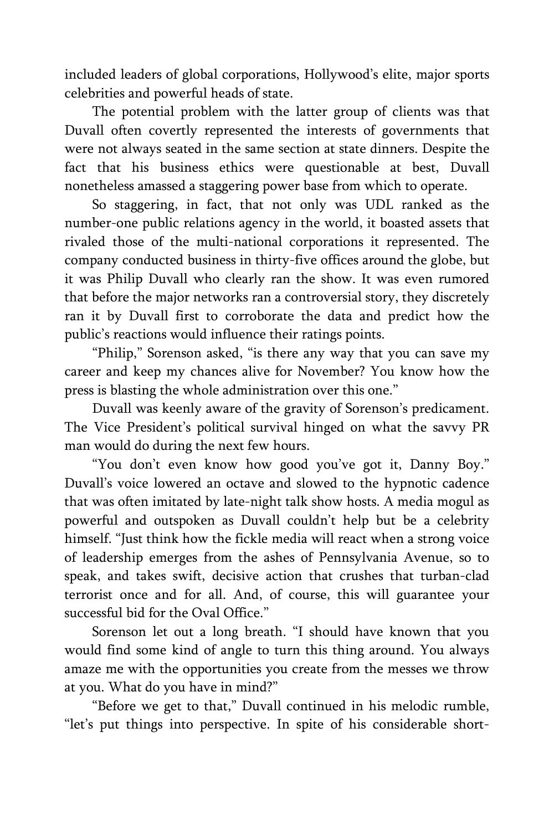included leaders of global corporations, Hollywood's elite, major sports celebrities and powerful heads of state.

The potential problem with the latter group of clients was that Duvall often covertly represented the interests of governments that were not always seated in the same section at state dinners. Despite the fact that his business ethics were questionable at best, Duvall nonetheless amassed a staggering power base from which to operate.

So staggering, in fact, that not only was UDL ranked as the number-one public relations agency in the world, it boasted assets that rivaled those of the multi-national corporations it represented. The company conducted business in thirty-five offices around the globe, but it was Philip Duvall who clearly ran the show. It was even rumored that before the major networks ran a controversial story, they discretely ran it by Duvall first to corroborate the data and predict how the public's reactions would influence their ratings points.

"Philip," Sorenson asked, "is there any way that you can save my career and keep my chances alive for November? You know how the press is blasting the whole administration over this one."

Duvall was keenly aware of the gravity of Sorenson's predicament. The Vice President's political survival hinged on what the savvy PR man would do during the next few hours.

"You don't even know how good you've got it, Danny Boy." Duvall's voice lowered an octave and slowed to the hypnotic cadence that was often imitated by late-night talk show hosts. A media mogul as powerful and outspoken as Duvall couldn't help but be a celebrity himself. "Just think how the fickle media will react when a strong voice of leadership emerges from the ashes of Pennsylvania Avenue, so to speak, and takes swift, decisive action that crushes that turban-clad terrorist once and for all. And, of course, this will guarantee your successful bid for the Oval Office."

Sorenson let out a long breath. "I should have known that you would find some kind of angle to turn this thing around. You always amaze me with the opportunities you create from the messes we throw at you. What do you have in mind?"

"Before we get to that," Duvall continued in his melodic rumble, "let's put things into perspective. In spite of his considerable short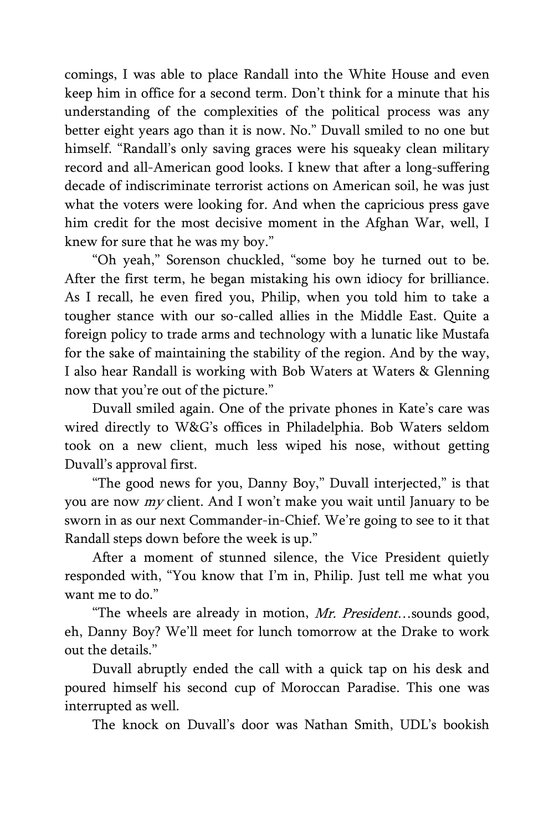comings, I was able to place Randall into the White House and even keep him in office for a second term. Don't think for a minute that his understanding of the complexities of the political process was any better eight years ago than it is now. No." Duvall smiled to no one but himself. "Randall's only saving graces were his squeaky clean military record and all-American good looks. I knew that after a long-suffering decade of indiscriminate terrorist actions on American soil, he was just what the voters were looking for. And when the capricious press gave him credit for the most decisive moment in the Afghan War, well, I knew for sure that he was my boy."

"Oh yeah," Sorenson chuckled, "some boy he turned out to be. After the first term, he began mistaking his own idiocy for brilliance. As I recall, he even fired you, Philip, when you told him to take a tougher stance with our so-called allies in the Middle East. Quite a foreign policy to trade arms and technology with a lunatic like Mustafa for the sake of maintaining the stability of the region. And by the way, I also hear Randall is working with Bob Waters at Waters & Glenning now that you're out of the picture."

Duvall smiled again. One of the private phones in Kate's care was wired directly to W&G's offices in Philadelphia. Bob Waters seldom took on a new client, much less wiped his nose, without getting Duvall's approval first.

"The good news for you, Danny Boy," Duvall interjected," is that you are now my client. And I won't make you wait until January to be sworn in as our next Commander-in-Chief. We're going to see to it that Randall steps down before the week is up."

After a moment of stunned silence, the Vice President quietly responded with, "You know that I'm in, Philip. Just tell me what you want me to do."

"The wheels are already in motion, Mr. President...sounds good, eh, Danny Boy? We'll meet for lunch tomorrow at the Drake to work out the details."

Duvall abruptly ended the call with a quick tap on his desk and poured himself his second cup of Moroccan Paradise. This one was interrupted as well.

The knock on Duvall's door was Nathan Smith, UDL's bookish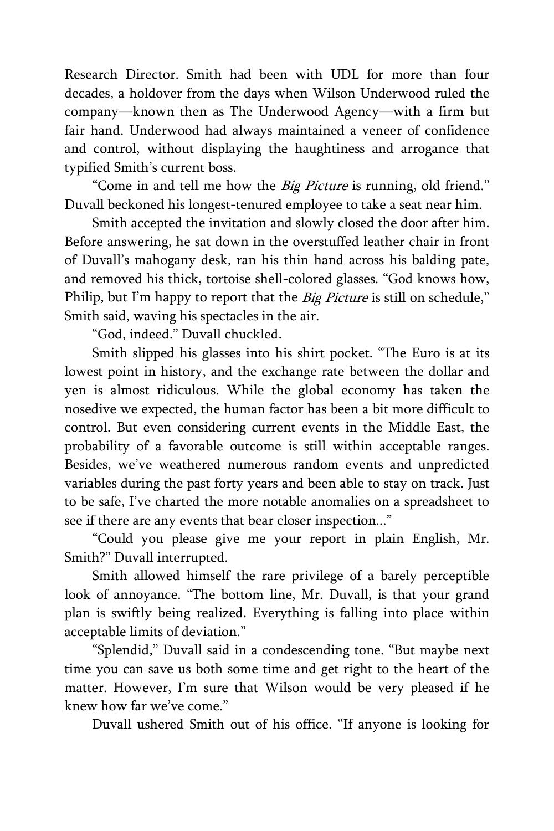Research Director. Smith had been with UDL for more than four decades, a holdover from the days when Wilson Underwood ruled the company—known then as The Underwood Agency—with a firm but fair hand. Underwood had always maintained a veneer of confidence and control, without displaying the haughtiness and arrogance that typified Smith's current boss.

"Come in and tell me how the *Big Picture* is running, old friend." Duvall beckoned his longest-tenured employee to take a seat near him.

Smith accepted the invitation and slowly closed the door after him. Before answering, he sat down in the overstuffed leather chair in front of Duvall's mahogany desk, ran his thin hand across his balding pate, and removed his thick, tortoise shell-colored glasses. "God knows how, Philip, but I'm happy to report that the *Big Picture* is still on schedule," Smith said, waving his spectacles in the air.

"God, indeed." Duvall chuckled.

Smith slipped his glasses into his shirt pocket. "The Euro is at its lowest point in history, and the exchange rate between the dollar and yen is almost ridiculous. While the global economy has taken the nosedive we expected, the human factor has been a bit more difficult to control. But even considering current events in the Middle East, the probability of a favorable outcome is still within acceptable ranges. Besides, we've weathered numerous random events and unpredicted variables during the past forty years and been able to stay on track. Just to be safe, I've charted the more notable anomalies on a spreadsheet to see if there are any events that bear closer inspection..."

"Could you please give me your report in plain English, Mr. Smith?" Duvall interrupted.

Smith allowed himself the rare privilege of a barely perceptible look of annoyance. "The bottom line, Mr. Duvall, is that your grand plan is swiftly being realized. Everything is falling into place within acceptable limits of deviation."

"Splendid," Duvall said in a condescending tone. "But maybe next time you can save us both some time and get right to the heart of the matter. However, I'm sure that Wilson would be very pleased if he knew how far we've come."

Duvall ushered Smith out of his office. "If anyone is looking for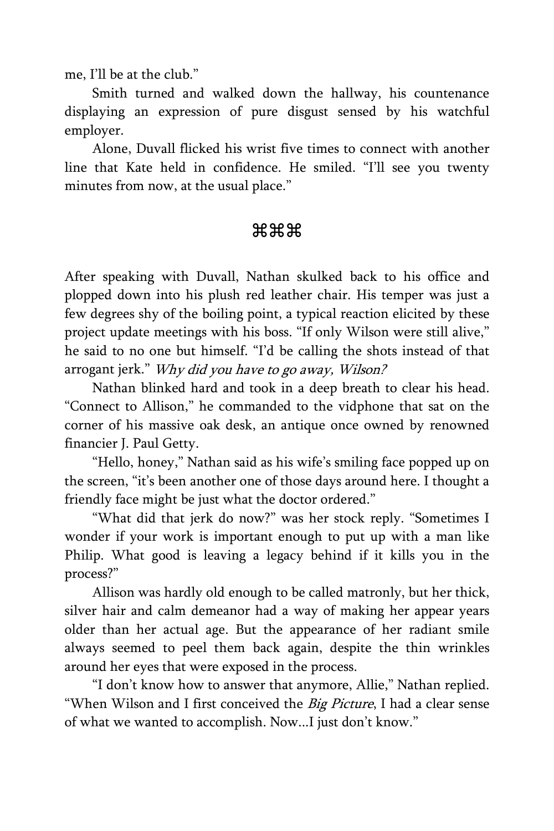me, I'll be at the club."

Smith turned and walked down the hallway, his countenance displaying an expression of pure disgust sensed by his watchful employer.

Alone, Duvall flicked his wrist five times to connect with another line that Kate held in confidence. He smiled. "I'll see you twenty minutes from now, at the usual place."

### \*\*\*

After speaking with Duvall, Nathan skulked back to his office and plopped down into his plush red leather chair. His temper was just a few degrees shy of the boiling point, a typical reaction elicited by these project update meetings with his boss. "If only Wilson were still alive," he said to no one but himself. "I'd be calling the shots instead of that arrogant jerk." Why did you have to go away, Wilson?

Nathan blinked hard and took in a deep breath to clear his head. "Connect to Allison," he commanded to the vidphone that sat on the corner of his massive oak desk, an antique once owned by renowned financier J. Paul Getty.

"Hello, honey," Nathan said as his wife's smiling face popped up on the screen, "it's been another one of those days around here. I thought a friendly face might be just what the doctor ordered."

"What did that jerk do now?" was her stock reply. "Sometimes I wonder if your work is important enough to put up with a man like Philip. What good is leaving a legacy behind if it kills you in the process?"

Allison was hardly old enough to be called matronly, but her thick, silver hair and calm demeanor had a way of making her appear years older than her actual age. But the appearance of her radiant smile always seemed to peel them back again, despite the thin wrinkles around her eyes that were exposed in the process.

"I don't know how to answer that anymore, Allie," Nathan replied. "When Wilson and I first conceived the Big Picture, I had a clear sense of what we wanted to accomplish. Now...I just don't know."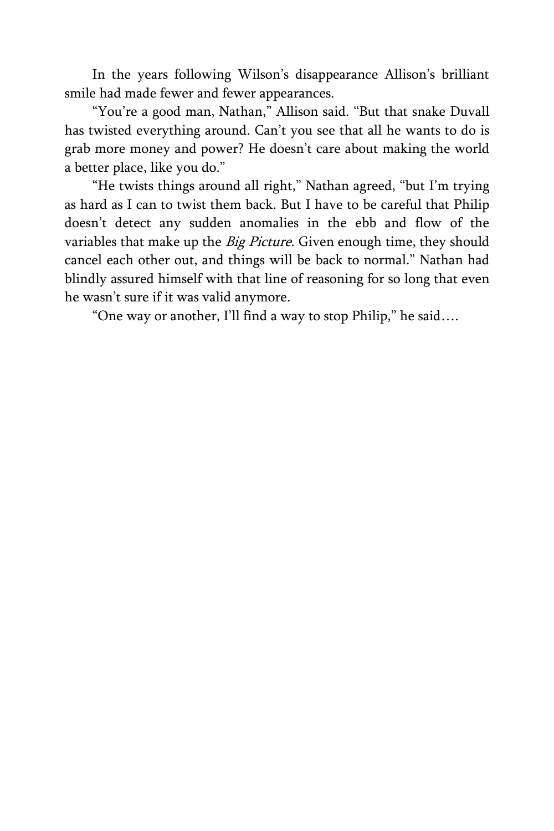In the years following Wilson's disappearance Allison's brilliant smile had made fewer and fewer appearances.

"You're a good man, Nathan," Allison said. "But that snake Duvall has twisted everything around. Can't you see that all he wants to do is grab more money and power? He doesn't care about making the world a better place, like you do."

"He twists things around all right," Nathan agreed, "but I'm trying as hard as I can to twist them back. But I have to be careful that Philip doesn't detect any sudden anomalies in the ebb and flow of the variables that make up the Big Picture. Given enough time, they should cancel each other out, and things will be back to normal." Nathan had blindly assured himself with that line of reasoning for so long that even he wasn't sure if it was valid anymore.

"One way or another, I'll find a way to stop Philip," he said….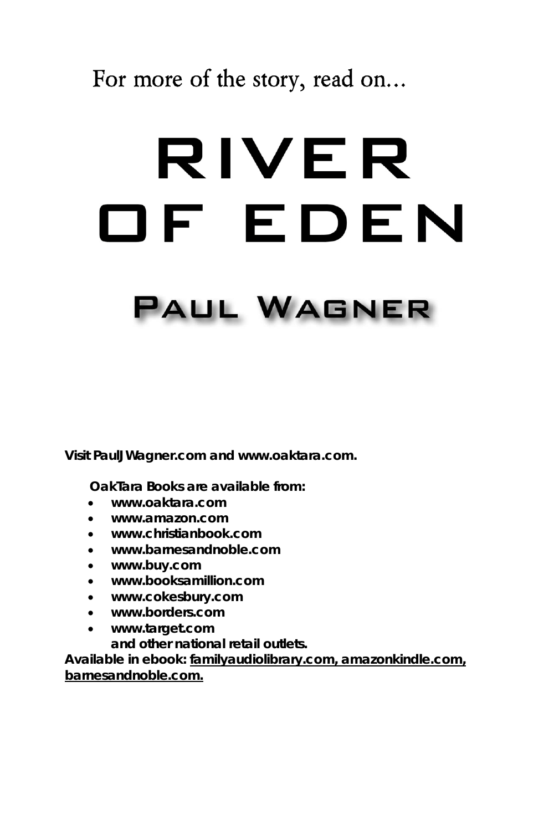## **For more of the story, read on…**

# RIVER OF EDEN

# **PAUL WAGNER**

**Visit PaulJWagner.com and www.oaktara.com.**

 **OakTara Books are available from:**

- **www.oaktara.com**
- **www.amazon.com**
- **www.christianbook.com**
- **www.barnesandnoble.com**
- **www.buy.com**
- **www.booksamillion.com**
- **www.cokesbury.com**
- **www.borders.com**
- **www.target.com and other national retail outlets.**

**Available in ebook: familyaudiolibrary.com, amazonkindle.com, barnesandnoble.com.**